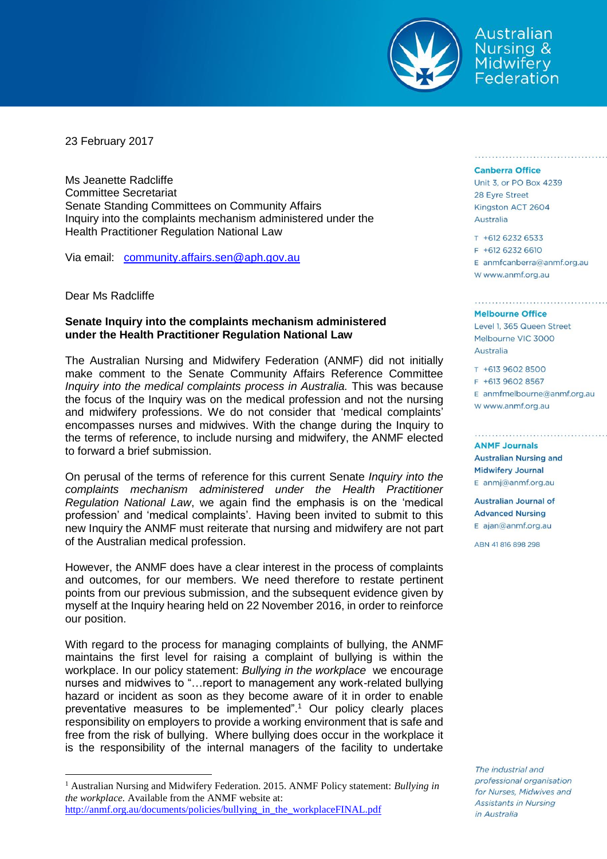

Australian **Nursing & Midwifery** Federation

23 February 2017

Ms Jeanette Radcliffe Committee Secretariat Senate Standing Committees on Community Affairs Inquiry into the complaints mechanism administered under the Health Practitioner Regulation National Law

Via email: [community.affairs.sen@aph.gov.au](mailto:community.affairs.sen@aph.gov.au)

Dear Ms Radcliffe

 $\overline{a}$ 

## **Senate Inquiry into the complaints mechanism administered under the Health Practitioner Regulation National Law**

The Australian Nursing and Midwifery Federation (ANMF) did not initially make comment to the Senate Community Affairs Reference Committee *Inquiry into the medical complaints process in Australia.* This was because the focus of the Inquiry was on the medical profession and not the nursing and midwifery professions. We do not consider that 'medical complaints' encompasses nurses and midwives. With the change during the Inquiry to the terms of reference, to include nursing and midwifery, the ANMF elected to forward a brief submission.

On perusal of the terms of reference for this current Senate *Inquiry into the complaints mechanism administered under the Health Practitioner Regulation National Law*, we again find the emphasis is on the 'medical profession' and 'medical complaints'. Having been invited to submit to this new Inquiry the ANMF must reiterate that nursing and midwifery are not part of the Australian medical profession.

However, the ANMF does have a clear interest in the process of complaints and outcomes, for our members. We need therefore to restate pertinent points from our previous submission, and the subsequent evidence given by myself at the Inquiry hearing held on 22 November 2016, in order to reinforce our position.

With regard to the process for managing complaints of bullying, the ANMF maintains the first level for raising a complaint of bullying is within the workplace. In our policy statement: *Bullying in the workplace* we encourage nurses and midwives to "…report to management any work-related bullying hazard or incident as soon as they become aware of it in order to enable preventative measures to be implemented".<sup>1</sup> Our policy clearly places responsibility on employers to provide a working environment that is safe and free from the risk of bullying. Where bullying does occur in the workplace it is the responsibility of the internal managers of the facility to undertake

## **Canberra Office**

Unit 3, or PO Box 4239 28 Eyre Street Kingston ACT 2604 Australia

## T +612 6232 6533 F +612 6232 6610 E anmfcanberra@anmf.org.au w www.anmf.org.au

## **Melbourne Office**

Level 1, 365 Queen Street Melbourne VIC 3000 Australia

T +613 9602 8500 F +613 9602 8567  $E$  anmfmelbourne@anmf.org.au W www.anmf.org.au

**ANME Journals Australian Nursing and Midwifery Journal** E anmj@anmf.org.au

**Australian Journal of Advanced Nursing** E ajan@anmf.org.au

ABN 41816898298

The industrial and professional organisation for Nurses, Midwives and Assistants in Nursing in Australia

<sup>1</sup> Australian Nursing and Midwifery Federation. 2015. ANMF Policy statement: *Bullying in the workplace.* Available from the ANMF website at: http://anmf.org.au/documents/policies/bullying in the workplaceFINAL.pdf